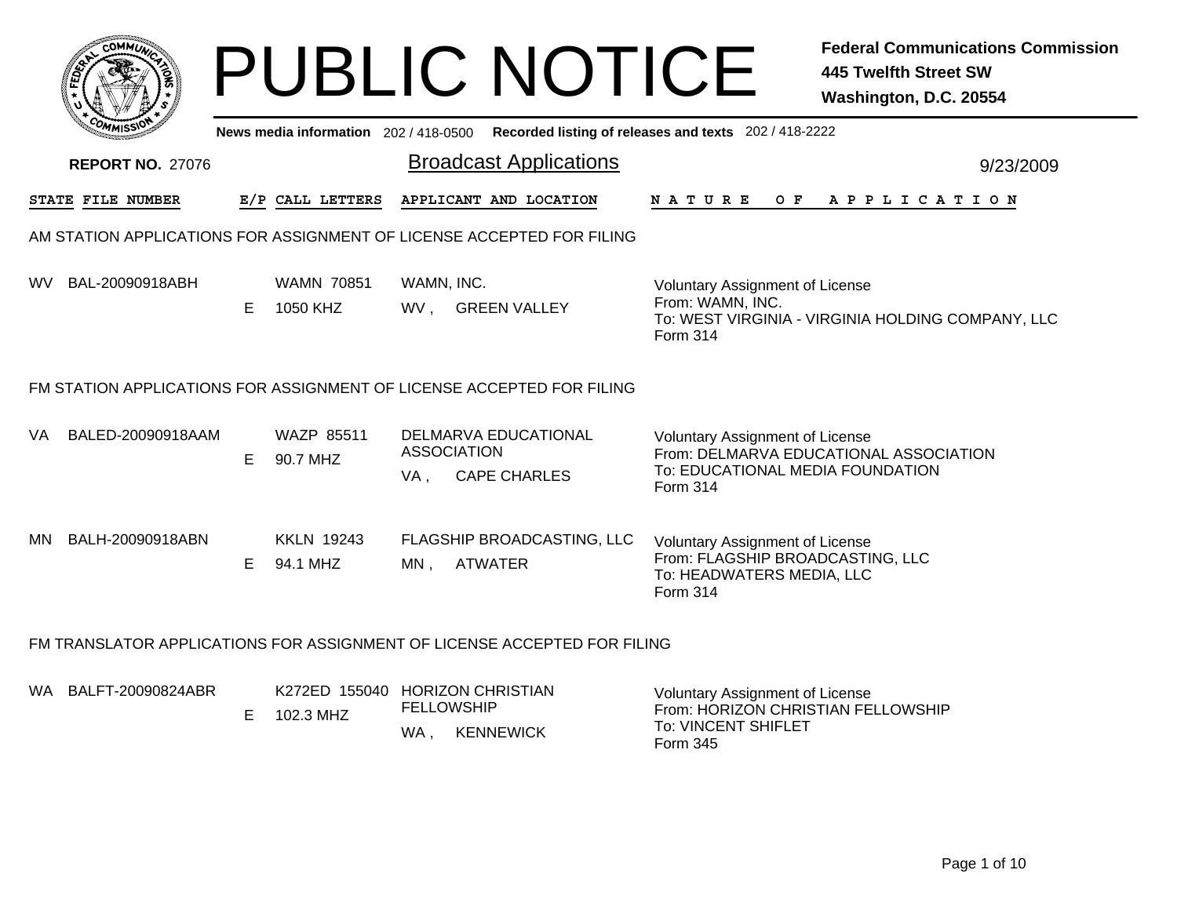|     | <b>OMMUA</b>                                                             |    |                                     | <b>PUBLIC NOTICE</b>                                                            |                                                                                                                            | <b>Federal Communications Commission</b><br><b>445 Twelfth Street SW</b><br>Washington, D.C. 20554 |
|-----|--------------------------------------------------------------------------|----|-------------------------------------|---------------------------------------------------------------------------------|----------------------------------------------------------------------------------------------------------------------------|----------------------------------------------------------------------------------------------------|
|     |                                                                          |    | News media information 202/418-0500 |                                                                                 | Recorded listing of releases and texts 202 / 418-2222                                                                      |                                                                                                    |
|     | <b>REPORT NO. 27076</b>                                                  |    |                                     | <b>Broadcast Applications</b>                                                   |                                                                                                                            | 9/23/2009                                                                                          |
|     | STATE FILE NUMBER                                                        |    | E/P CALL LETTERS                    | APPLICANT AND LOCATION                                                          | N A T U R E<br>O F                                                                                                         | APPLICATION                                                                                        |
|     | AM STATION APPLICATIONS FOR ASSIGNMENT OF LICENSE ACCEPTED FOR FILING    |    |                                     |                                                                                 |                                                                                                                            |                                                                                                    |
| WV. | BAL-20090918ABH                                                          | E. | <b>WAMN 70851</b><br>1050 KHZ       | WAMN, INC.<br>WV, GREEN VALLEY                                                  | <b>Voluntary Assignment of License</b><br>From: WAMN, INC.<br>Form 314                                                     | To: WEST VIRGINIA - VIRGINIA HOLDING COMPANY, LLC                                                  |
|     | FM STATION APPLICATIONS FOR ASSIGNMENT OF LICENSE ACCEPTED FOR FILING    |    |                                     |                                                                                 |                                                                                                                            |                                                                                                    |
| VA  | BALED-20090918AAM                                                        | E. | <b>WAZP 85511</b><br>90.7 MHZ       | <b>DELMARVA EDUCATIONAL</b><br><b>ASSOCIATION</b><br><b>CAPE CHARLES</b><br>VA, | <b>Voluntary Assignment of License</b><br>To: EDUCATIONAL MEDIA FOUNDATION<br><b>Form 314</b>                              | From: DELMARVA EDUCATIONAL ASSOCIATION                                                             |
| MN. | BALH-20090918ABN                                                         |    | <b>KKLN 19243</b><br>E 94.1 MHZ     | FLAGSHIP BROADCASTING, LLC<br><b>ATWATER</b><br>$MN$ ,                          | <b>Voluntary Assignment of License</b><br>From: FLAGSHIP BROADCASTING, LLC<br>To: HEADWATERS MEDIA, LLC<br><b>Form 314</b> |                                                                                                    |
|     | FM TRANSLATOR APPLICATIONS FOR ASSIGNMENT OF LICENSE ACCEPTED FOR FILING |    |                                     |                                                                                 |                                                                                                                            |                                                                                                    |
|     | WA BALFT-20090824ABR                                                     | E. | 102.3 MHZ                           | K272ED 155040 HORIZON CHRISTIAN<br><b>FELLOWSHIP</b><br><b>KENNEWICK</b><br>WA, | <b>Voluntary Assignment of License</b><br>From: HORIZON CHRISTIAN FELLOWSHIP<br>To: VINCENT SHIFLET<br>Form 345            |                                                                                                    |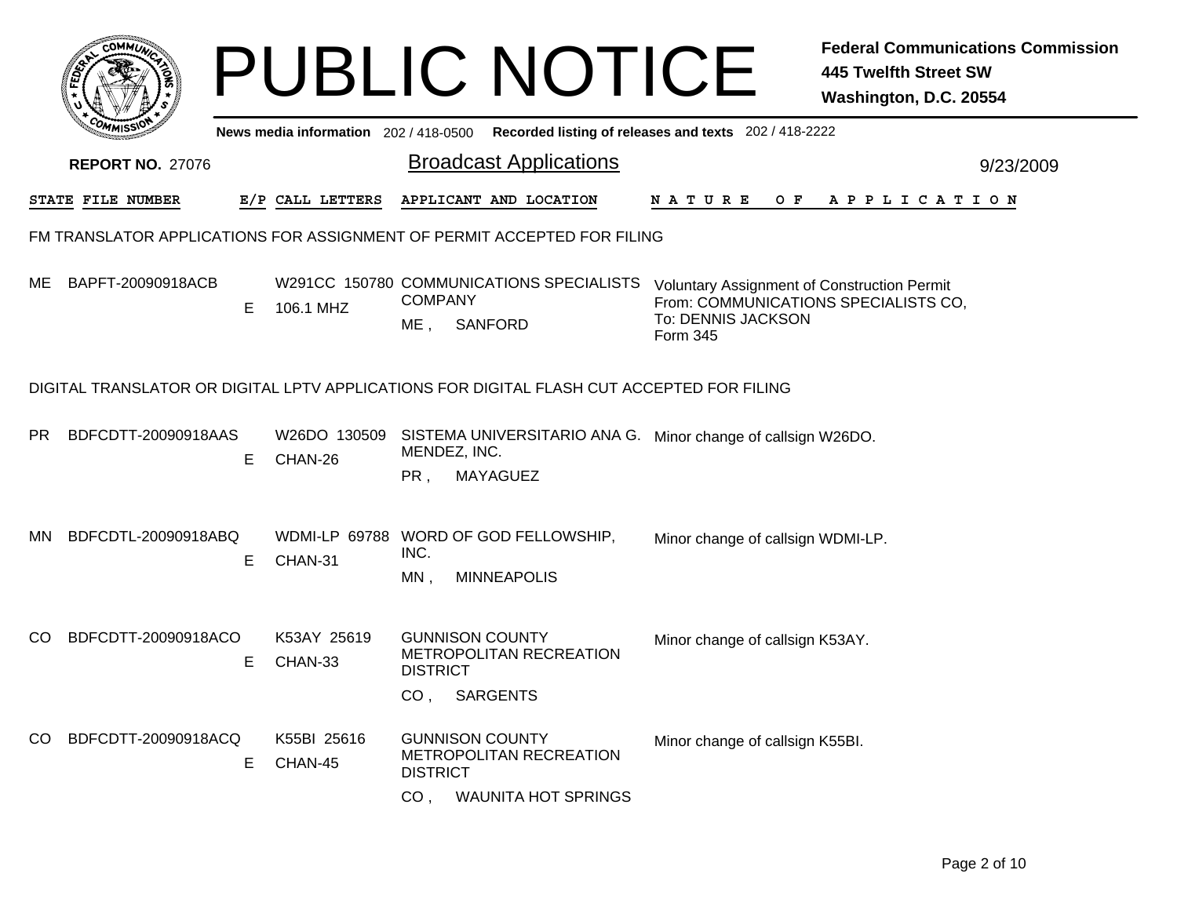|     |                         |   |                                       | <b>PUBLIC NOTICE</b>                                                                                                  | <b>Federal Communications Commission</b><br><b>445 Twelfth Street SW</b><br>Washington, D.C. 20554                           |
|-----|-------------------------|---|---------------------------------------|-----------------------------------------------------------------------------------------------------------------------|------------------------------------------------------------------------------------------------------------------------------|
|     |                         |   | News media information 202 / 418-0500 | Recorded listing of releases and texts 202 / 418-2222                                                                 |                                                                                                                              |
|     | <b>REPORT NO. 27076</b> |   |                                       | <b>Broadcast Applications</b>                                                                                         | 9/23/2009                                                                                                                    |
|     | STATE FILE NUMBER       |   | E/P CALL LETTERS                      | APPLICANT AND LOCATION                                                                                                | N A T U R E<br>O F<br>A P P L I C A T I O N                                                                                  |
|     |                         |   |                                       | FM TRANSLATOR APPLICATIONS FOR ASSIGNMENT OF PERMIT ACCEPTED FOR FILING                                               |                                                                                                                              |
| ME  | BAPFT-20090918ACB       | Е | 106.1 MHZ                             | W291CC 150780 COMMUNICATIONS SPECIALISTS<br><b>COMPANY</b><br><b>SANFORD</b><br>ME .                                  | <b>Voluntary Assignment of Construction Permit</b><br>From: COMMUNICATIONS SPECIALISTS CO,<br>To: DENNIS JACKSON<br>Form 345 |
|     |                         |   |                                       | DIGITAL TRANSLATOR OR DIGITAL LPTV APPLICATIONS FOR DIGITAL FLASH CUT ACCEPTED FOR FILING                             |                                                                                                                              |
| PR. | BDFCDTT-20090918AAS     | Е | W26DO 130509<br>CHAN-26               | SISTEMA UNIVERSITARIO ANA G.<br>MENDEZ, INC.<br>MAYAGUEZ<br>PR,                                                       | Minor change of callsign W26DO.                                                                                              |
| MN. | BDFCDTL-20090918ABQ     | Е | CHAN-31                               | WDMI-LP 69788 WORD OF GOD FELLOWSHIP,<br>INC.<br><b>MINNEAPOLIS</b><br>MN,                                            | Minor change of callsign WDMI-LP.                                                                                            |
| CO. | BDFCDTT-20090918ACO     | Е | K53AY 25619<br>CHAN-33                | <b>GUNNISON COUNTY</b><br><b>METROPOLITAN RECREATION</b><br><b>DISTRICT</b><br>CO <sub>1</sub><br>SARGENTS            | Minor change of callsign K53AY.                                                                                              |
| CO. | BDFCDTT-20090918ACQ     | Е | K55BI 25616<br>CHAN-45                | <b>GUNNISON COUNTY</b><br>METROPOLITAN RECREATION<br><b>DISTRICT</b><br>CO <sub>1</sub><br><b>WAUNITA HOT SPRINGS</b> | Minor change of callsign K55BI.                                                                                              |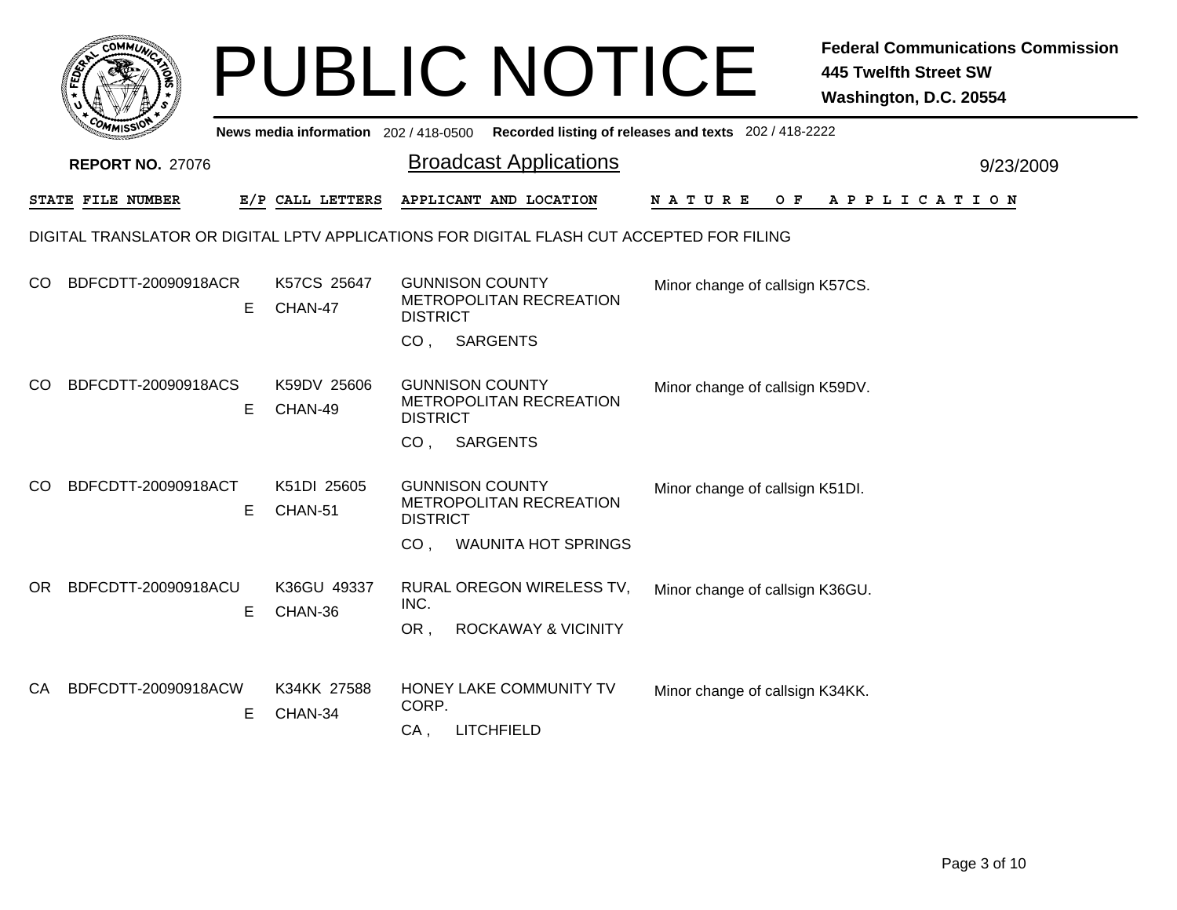| FEDERAL                   |                                     | <b>PUBLIC NOTICE</b>                                                                                              | Fe<br>44<br>W                                         |
|---------------------------|-------------------------------------|-------------------------------------------------------------------------------------------------------------------|-------------------------------------------------------|
| <b>REPORT NO. 27076</b>   | News media information 202/418-0500 | <b>Broadcast Applications</b>                                                                                     | Recorded listing of releases and texts 202 / 418-2222 |
| STATE FILE NUMBER         | E/P CALL LETTERS                    | APPLICANT AND LOCATION                                                                                            | O F<br>N A T U R E<br>А                               |
|                           |                                     | DIGITAL TRANSLATOR OR DIGITAL LPTV APPLICATIONS FOR DIGITAL FLASH CUT ACCEPTED FOR FILING                         |                                                       |
| BDFCDTT-20090918ACR<br>CO | K57CS 25647<br>E.<br>CHAN-47        | <b>GUNNISON COUNTY</b><br><b>METROPOLITAN RECREATION</b><br><b>DISTRICT</b><br><b>SARGENTS</b><br>CO.             | Minor change of callsign K5                           |
| BDFCDTT-20090918ACS<br>CO | K59DV 25606<br>E.<br>CHAN-49        | <b>GUNNISON COUNTY</b><br><b>METROPOLITAN RECREATION</b><br><b>DISTRICT</b><br>CO <sub>1</sub><br><b>SARGENTS</b> | Minor change of callsign K5                           |
| BDFCDTT-20090918ACT<br>CO | K51DI 25605<br>E<br>CHAN-51         | <b>GUNNISON COUNTY</b><br><b>METROPOLITAN RECREATION</b><br><b>DISTRICT</b><br><b>WAUNITA HOT SPRINGS</b><br>CO.  | Minor change of callsign K5                           |

K36GU 49337 RURAL OREGON WIRELESS TV, INC. OR BDFCDTT-20090918ACU OR , ROCKAWAY & VICINITY E CHAN-36 Minor change of callsign K36GU.

| CA BDFCDTT-20090918ACW | K34KK 27588<br>CHAN-34 | HONEY LAKE COMMUNITY TV<br>CORP. | Minor change of callsign K34KK. |
|------------------------|------------------------|----------------------------------|---------------------------------|
|                        |                        | LITCHFIELD                       |                                 |

**FILE NUMBER E/P CALL LETTERS APPLICANT AND LOCATION N A T U R E O F A P P L I C A T I O N**

Minor change of callsign K57CS.

Minor change of callsign K59DV.

Minor change of callsign K51DI.

 $9/23/2009$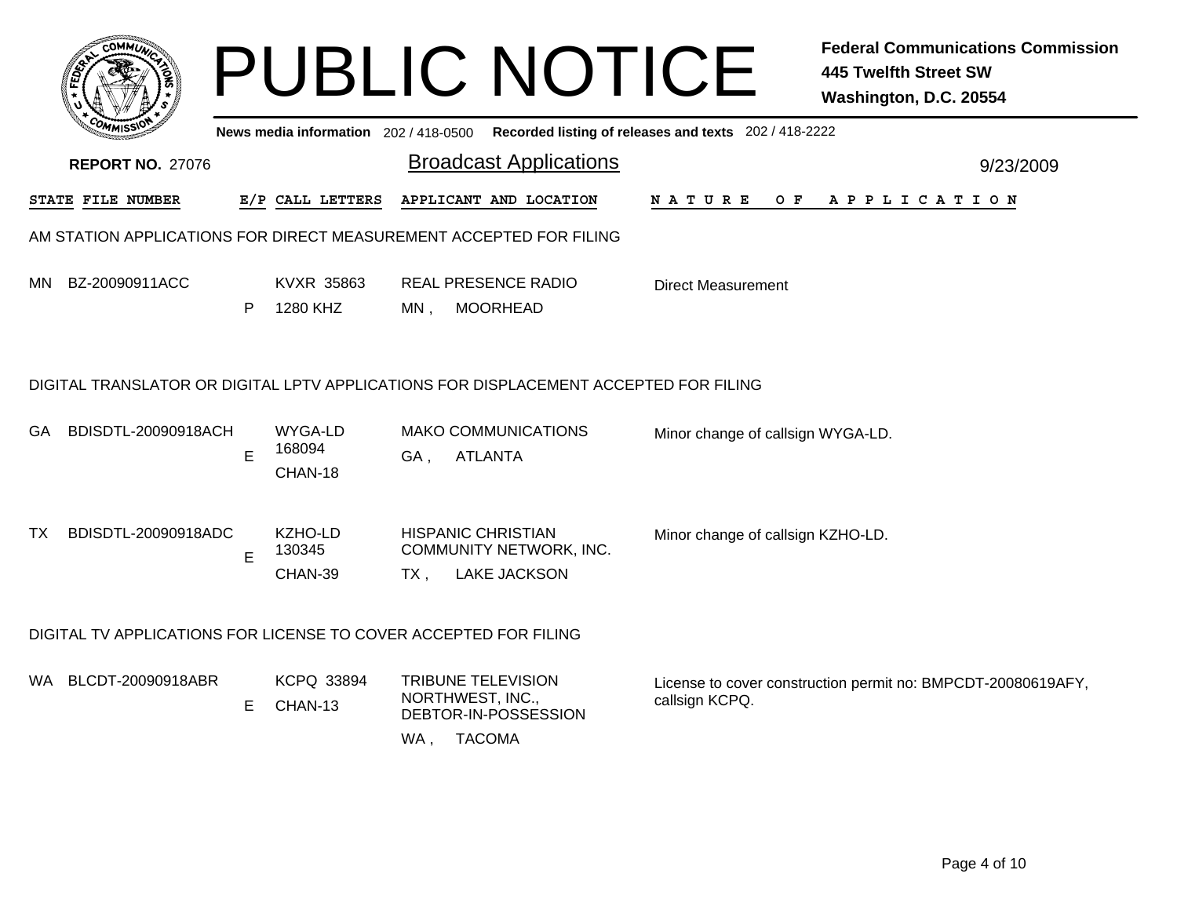|      | <b>COMMU</b>                                                       |    |                                       |        | <b>PUBLIC NOTICE</b>                                                                   |                                                       | <b>Federal Communications Commission</b><br><b>445 Twelfth Street SW</b><br>Washington, D.C. 20554 |
|------|--------------------------------------------------------------------|----|---------------------------------------|--------|----------------------------------------------------------------------------------------|-------------------------------------------------------|----------------------------------------------------------------------------------------------------|
|      |                                                                    |    | News media information $202/418-0500$ |        |                                                                                        | Recorded listing of releases and texts 202 / 418-2222 |                                                                                                    |
|      | <b>REPORT NO. 27076</b>                                            |    |                                       |        | <b>Broadcast Applications</b>                                                          |                                                       | 9/23/2009                                                                                          |
|      | STATE FILE NUMBER                                                  |    | E/P CALL LETTERS                      |        | APPLICANT AND LOCATION                                                                 | <b>NATURE</b><br>O F                                  | APPLICATION                                                                                        |
|      | AM STATION APPLICATIONS FOR DIRECT MEASUREMENT ACCEPTED FOR FILING |    |                                       |        |                                                                                        |                                                       |                                                                                                    |
| MN.  | BZ-20090911ACC                                                     | P  | KVXR 35863<br>1280 KHZ                | $MN$ . | <b>REAL PRESENCE RADIO</b><br><b>MOORHEAD</b>                                          | Direct Measurement                                    |                                                                                                    |
|      |                                                                    |    |                                       |        | DIGITAL TRANSLATOR OR DIGITAL LPTV APPLICATIONS FOR DISPLACEMENT ACCEPTED FOR FILING   |                                                       |                                                                                                    |
| GA.  | BDISDTL-20090918ACH                                                | E  | WYGA-LD<br>168094<br>CHAN-18          | GA,    | <b>MAKO COMMUNICATIONS</b><br><b>ATLANTA</b>                                           | Minor change of callsign WYGA-LD.                     |                                                                                                    |
| TX.  | BDISDTL-20090918ADC                                                | E  | KZHO-LD<br>130345<br>CHAN-39          | $TX$ , | <b>HISPANIC CHRISTIAN</b><br>COMMUNITY NETWORK, INC.<br><b>LAKE JACKSON</b>            | Minor change of callsign KZHO-LD.                     |                                                                                                    |
|      | DIGITAL TV APPLICATIONS FOR LICENSE TO COVER ACCEPTED FOR FILING   |    |                                       |        |                                                                                        |                                                       |                                                                                                    |
| WA . | BLCDT-20090918ABR                                                  | E. | <b>KCPQ 33894</b><br>CHAN-13          | WA,    | <b>TRIBUNE TELEVISION</b><br>NORTHWEST, INC.,<br>DEBTOR-IN-POSSESSION<br><b>TACOMA</b> | callsign KCPQ.                                        | License to cover construction permit no: BMPCDT-20080619AFY,                                       |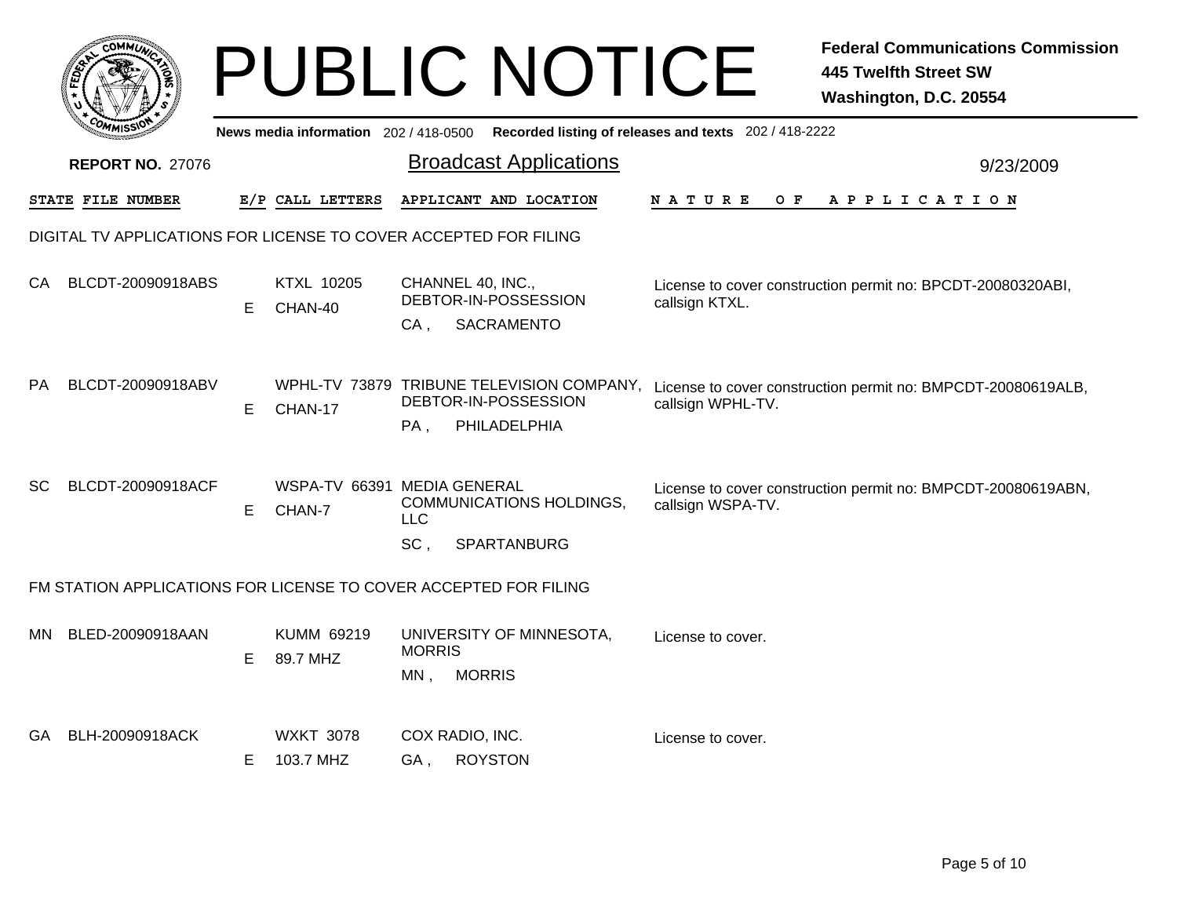| <b>COMMUT</b> |                                                                  |    |                                       | <b>PUBLIC NOTICE</b>                                                                                      |                                                       | <b>Federal Communications Commission</b><br><b>445 Twelfth Street SW</b><br>Washington, D.C. 20554 |  |  |  |
|---------------|------------------------------------------------------------------|----|---------------------------------------|-----------------------------------------------------------------------------------------------------------|-------------------------------------------------------|----------------------------------------------------------------------------------------------------|--|--|--|
|               |                                                                  |    | News media information 202 / 418-0500 |                                                                                                           | Recorded listing of releases and texts 202 / 418-2222 |                                                                                                    |  |  |  |
|               | <b>REPORT NO. 27076</b>                                          |    |                                       | <b>Broadcast Applications</b>                                                                             |                                                       | 9/23/2009                                                                                          |  |  |  |
|               | STATE FILE NUMBER                                                |    | E/P CALL LETTERS                      | APPLICANT AND LOCATION                                                                                    | N A T U R E                                           | OF APPLICATION                                                                                     |  |  |  |
|               | DIGITAL TV APPLICATIONS FOR LICENSE TO COVER ACCEPTED FOR FILING |    |                                       |                                                                                                           |                                                       |                                                                                                    |  |  |  |
| CA.           | BLCDT-20090918ABS                                                | E. | KTXL 10205<br>CHAN-40                 | CHANNEL 40, INC.,<br>DEBTOR-IN-POSSESSION<br>SACRAMENTO<br>CA.                                            | callsign KTXL.                                        | License to cover construction permit no: BPCDT-20080320ABI,                                        |  |  |  |
| PA.           | BLCDT-20090918ABV                                                | E. | CHAN-17                               | WPHL-TV 73879 TRIBUNE TELEVISION COMPANY,<br>DEBTOR-IN-POSSESSION<br>PHILADELPHIA<br>PA,                  | callsign WPHL-TV.                                     | License to cover construction permit no: BMPCDT-20080619ALB,                                       |  |  |  |
| SC.           | BLCDT-20090918ACF                                                | E. | CHAN-7                                | WSPA-TV 66391 MEDIA GENERAL<br><b>COMMUNICATIONS HOLDINGS,</b><br><b>LLC</b><br>SC.<br><b>SPARTANBURG</b> | callsign WSPA-TV.                                     | License to cover construction permit no: BMPCDT-20080619ABN,                                       |  |  |  |
|               |                                                                  |    |                                       | FM STATION APPLICATIONS FOR LICENSE TO COVER ACCEPTED FOR FILING                                          |                                                       |                                                                                                    |  |  |  |
| MN            | BLED-20090918AAN                                                 | E. | KUMM 69219<br>89.7 MHZ                | UNIVERSITY OF MINNESOTA,<br><b>MORRIS</b><br><b>MORRIS</b><br>MN.                                         | License to cover.                                     |                                                                                                    |  |  |  |
| GA.           | BLH-20090918ACK                                                  | E. | <b>WXKT 3078</b><br>103.7 MHZ         | COX RADIO, INC.<br><b>ROYSTON</b><br>GA.                                                                  | License to cover.                                     |                                                                                                    |  |  |  |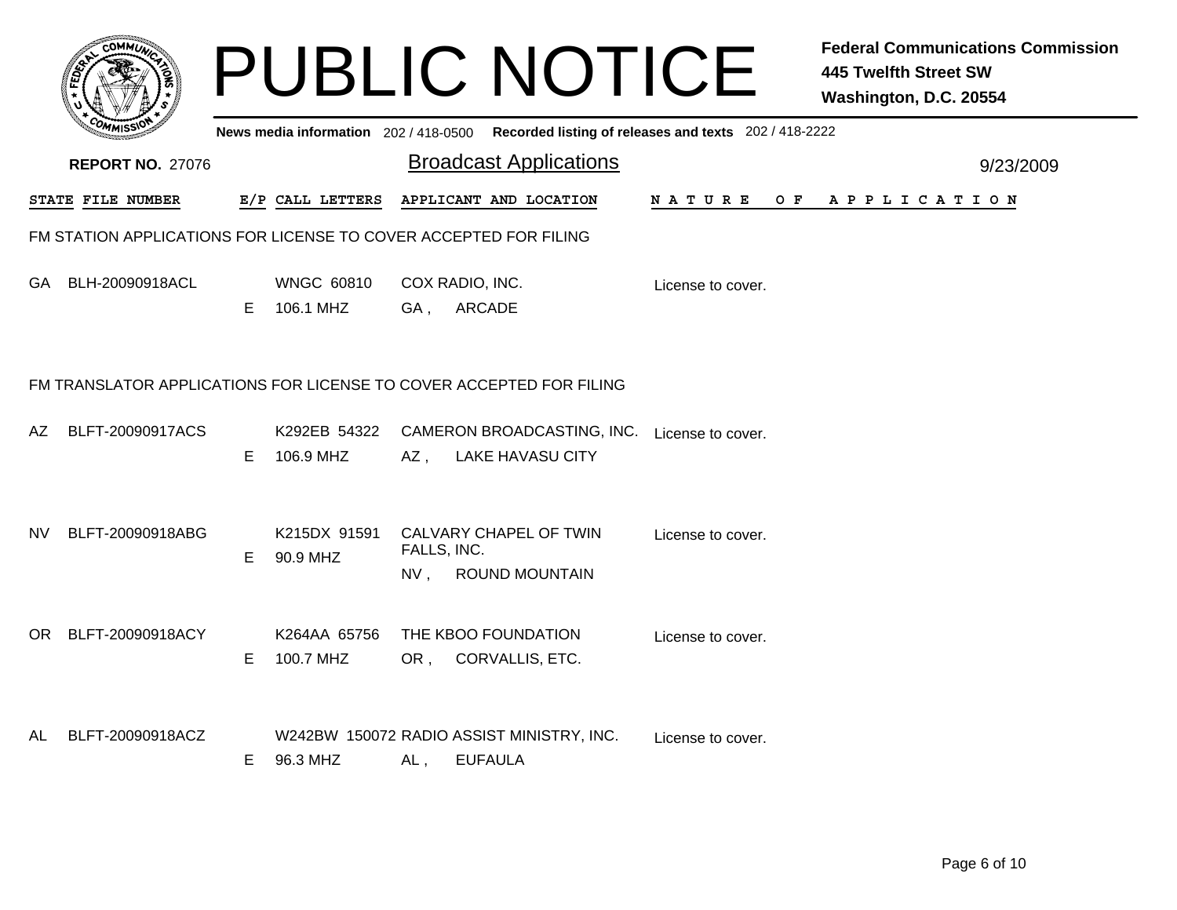|     | c.OMM                                                            |    |                                |                    | <b>PUBLIC NOTICE</b>                                                                    |                    | <b>Federal Communications Commission</b><br><b>445 Twelfth Street SW</b><br>Washington, D.C. 20554 |
|-----|------------------------------------------------------------------|----|--------------------------------|--------------------|-----------------------------------------------------------------------------------------|--------------------|----------------------------------------------------------------------------------------------------|
|     |                                                                  |    |                                |                    | News media information 202/418-0500 Recorded listing of releases and texts 202/418-2222 |                    |                                                                                                    |
|     | <b>REPORT NO. 27076</b>                                          |    |                                |                    | <b>Broadcast Applications</b>                                                           |                    | 9/23/2009                                                                                          |
|     | STATE FILE NUMBER                                                |    | E/P CALL LETTERS               |                    | APPLICANT AND LOCATION                                                                  | N A T U R E<br>O F | A P P L I C A T I O N                                                                              |
|     | FM STATION APPLICATIONS FOR LICENSE TO COVER ACCEPTED FOR FILING |    |                                |                    |                                                                                         |                    |                                                                                                    |
| GA  | BLH-20090918ACL                                                  | E. | <b>WNGC 60810</b><br>106.1 MHZ | GA,                | COX RADIO, INC.<br><b>ARCADE</b>                                                        | License to cover.  |                                                                                                    |
|     |                                                                  |    |                                |                    | FM TRANSLATOR APPLICATIONS FOR LICENSE TO COVER ACCEPTED FOR FILING                     |                    |                                                                                                    |
| AZ. | BLFT-20090917ACS                                                 | E  | K292EB 54322<br>106.9 MHZ      | AZ.                | CAMERON BROADCASTING, INC.<br><b>LAKE HAVASU CITY</b>                                   | License to cover.  |                                                                                                    |
| NV. | BLFT-20090918ABG                                                 | E. | K215DX 91591<br>90.9 MHZ       | FALLS, INC.<br>NV. | CALVARY CHAPEL OF TWIN<br><b>ROUND MOUNTAIN</b>                                         | License to cover.  |                                                                                                    |
| OR  | BLFT-20090918ACY                                                 | E  | K264AA 65756<br>100.7 MHZ      |                    | THE KBOO FOUNDATION<br>OR, CORVALLIS, ETC.                                              | License to cover.  |                                                                                                    |
| AL  | BLFT-20090918ACZ                                                 | E. | 96.3 MHZ                       | AL,                | W242BW 150072 RADIO ASSIST MINISTRY, INC.<br><b>EUFAULA</b>                             | License to cover.  |                                                                                                    |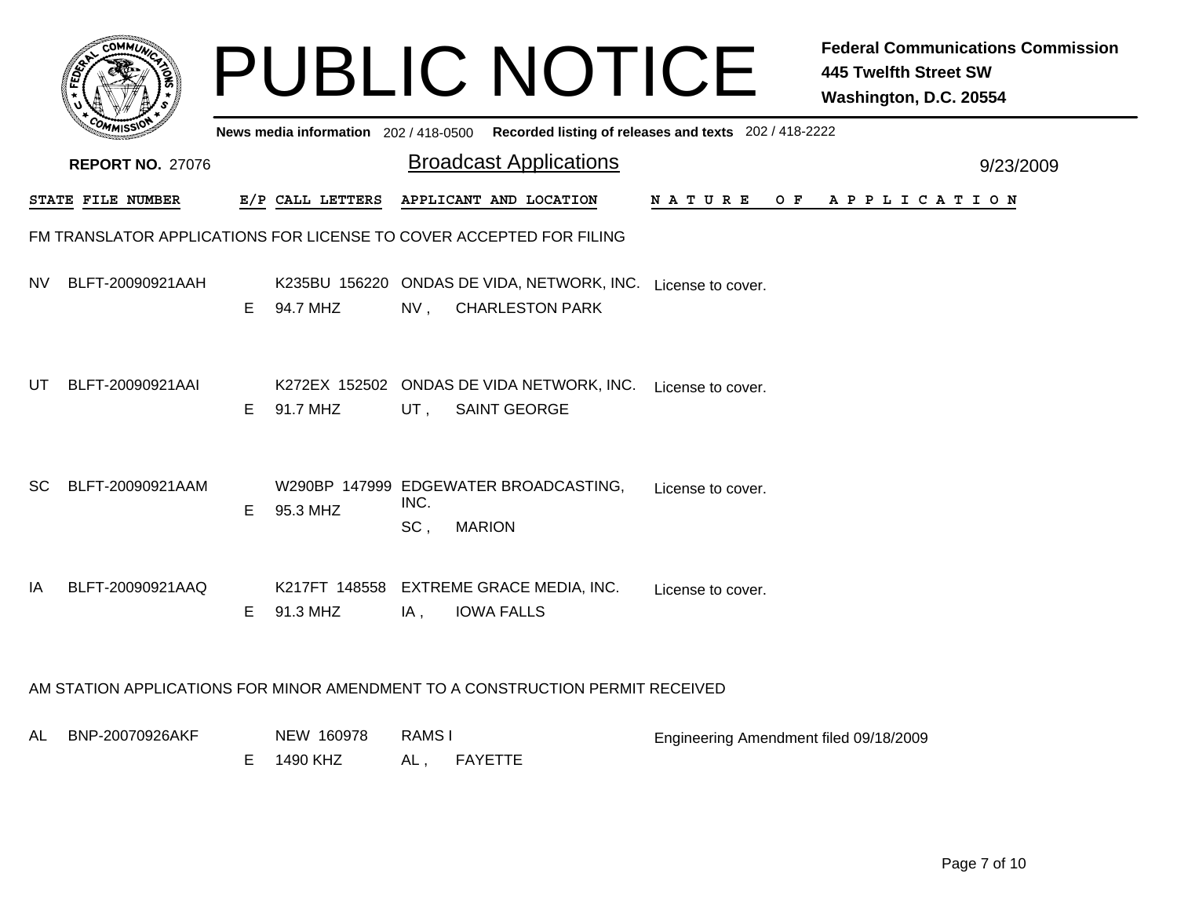|           |                                                                     |    |                        |                     | <b>PUBLIC NOTICE</b>                                                          |                                                                                         | <b>Federal Communications Commission</b><br><b>445 Twelfth Street SW</b><br>Washington, D.C. 20554 |
|-----------|---------------------------------------------------------------------|----|------------------------|---------------------|-------------------------------------------------------------------------------|-----------------------------------------------------------------------------------------|----------------------------------------------------------------------------------------------------|
|           |                                                                     |    |                        |                     |                                                                               | News media information 202/418-0500 Recorded listing of releases and texts 202/418-2222 |                                                                                                    |
|           | <b>REPORT NO. 27076</b>                                             |    |                        |                     | <b>Broadcast Applications</b>                                                 |                                                                                         | 9/23/2009                                                                                          |
|           | STATE FILE NUMBER                                                   |    | E/P CALL LETTERS       |                     | APPLICANT AND LOCATION                                                        | N A T U R E<br>O F                                                                      | A P P L I C A T I O N                                                                              |
|           | FM TRANSLATOR APPLICATIONS FOR LICENSE TO COVER ACCEPTED FOR FILING |    |                        |                     |                                                                               |                                                                                         |                                                                                                    |
| NV.       | BLFT-20090921AAH                                                    | E. | 94.7 MHZ               | $NV$ ,              | K235BU 156220 ONDAS DE VIDA, NETWORK, INC.<br><b>CHARLESTON PARK</b>          | License to cover.                                                                       |                                                                                                    |
| UT        | BLFT-20090921AAI                                                    | E. | 91.7 MHZ               | UT,                 | K272EX 152502 ONDAS DE VIDA NETWORK, INC.<br><b>SAINT GEORGE</b>              | License to cover.                                                                       |                                                                                                    |
| <b>SC</b> | BLFT-20090921AAM                                                    | E  | 95.3 MHZ               | INC.<br>SC,         | W290BP 147999 EDGEWATER BROADCASTING,<br><b>MARION</b>                        | License to cover.                                                                       |                                                                                                    |
| IA        | BLFT-20090921AAQ                                                    | E. | 91.3 MHZ               | IA,                 | K217FT 148558 EXTREME GRACE MEDIA, INC.<br><b>IOWA FALLS</b>                  | License to cover.                                                                       |                                                                                                    |
|           |                                                                     |    |                        |                     | AM STATION APPLICATIONS FOR MINOR AMENDMENT TO A CONSTRUCTION PERMIT RECEIVED |                                                                                         |                                                                                                    |
| AL        | BNP-20070926AKF                                                     | E. | NEW 160978<br>1490 KHZ | <b>RAMSI</b><br>AL, | <b>FAYETTE</b>                                                                | Engineering Amendment filed 09/18/2009                                                  |                                                                                                    |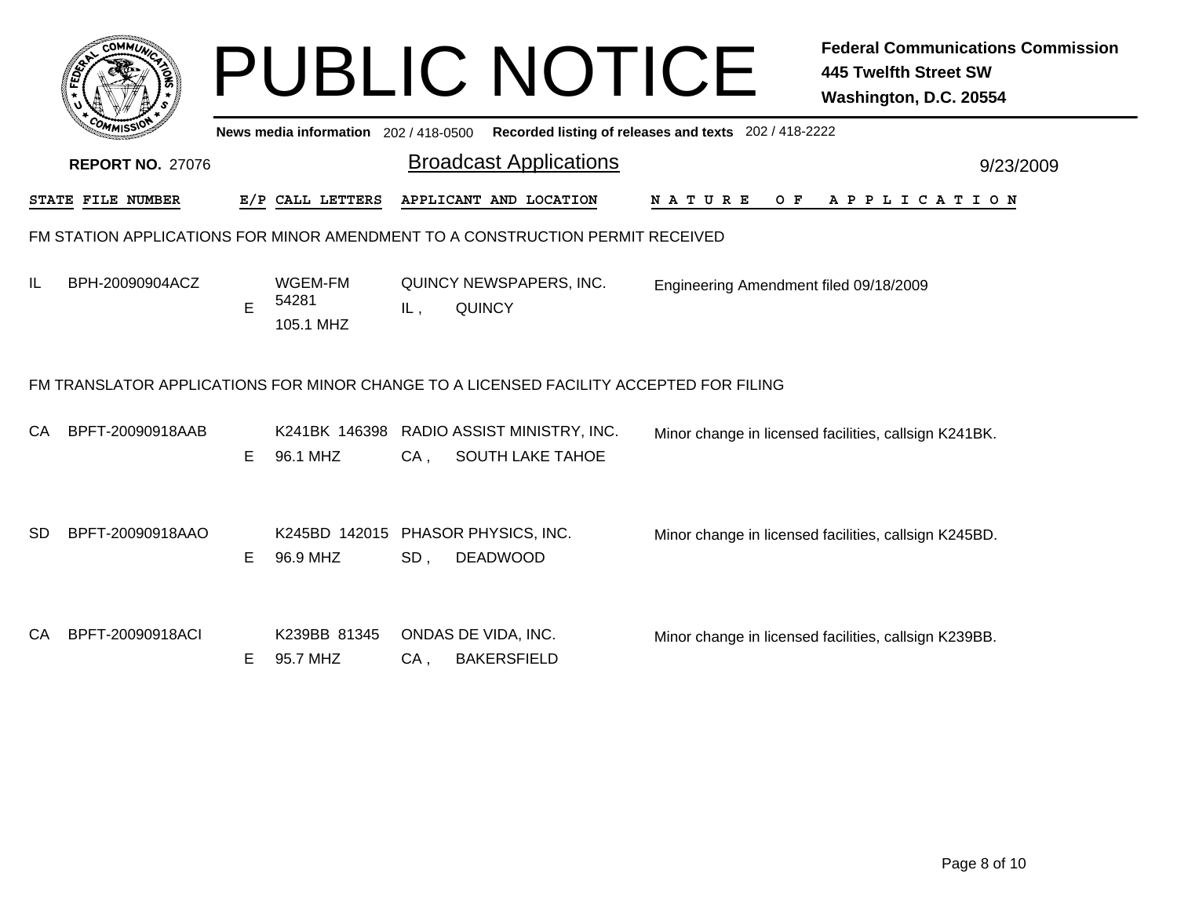|    |                          |    |                                       |        | <b>PUBLIC NOTICE</b>                                                                   |                                                       | <b>Federal Communications Commission</b><br><b>445 Twelfth Street SW</b><br>Washington, D.C. 20554 |
|----|--------------------------|----|---------------------------------------|--------|----------------------------------------------------------------------------------------|-------------------------------------------------------|----------------------------------------------------------------------------------------------------|
|    |                          |    | News media information 202 / 418-0500 |        |                                                                                        | Recorded listing of releases and texts 202 / 418-2222 |                                                                                                    |
|    | <b>REPORT NO. 27076</b>  |    |                                       |        | <b>Broadcast Applications</b>                                                          |                                                       | 9/23/2009                                                                                          |
|    | <b>STATE FILE NUMBER</b> |    | E/P CALL LETTERS                      |        | APPLICANT AND LOCATION                                                                 | O F<br>N A T U R E                                    | A P P L I C A T I O N                                                                              |
|    |                          |    |                                       |        | FM STATION APPLICATIONS FOR MINOR AMENDMENT TO A CONSTRUCTION PERMIT RECEIVED          |                                                       |                                                                                                    |
| IL | BPH-20090904ACZ          | E  | WGEM-FM<br>54281<br>105.1 MHZ         | IL,    | QUINCY NEWSPAPERS, INC.<br><b>QUINCY</b>                                               | Engineering Amendment filed 09/18/2009                |                                                                                                    |
|    |                          |    |                                       |        | FM TRANSLATOR APPLICATIONS FOR MINOR CHANGE TO A LICENSED FACILITY ACCEPTED FOR FILING |                                                       |                                                                                                    |
| СA | BPFT-20090918AAB         | Е  | 96.1 MHZ                              | $CA$ , | K241BK 146398 RADIO ASSIST MINISTRY, INC.<br>SOUTH LAKE TAHOE                          |                                                       | Minor change in licensed facilities, callsign K241BK.                                              |
| SD | BPFT-20090918AAO         | Е  | 96.9 MHZ                              | SD,    | K245BD 142015 PHASOR PHYSICS, INC.<br><b>DEADWOOD</b>                                  |                                                       | Minor change in licensed facilities, callsign K245BD.                                              |
| СA | BPFT-20090918ACI         | E. | K239BB 81345<br>95.7 MHZ              | $CA$ , | ONDAS DE VIDA, INC.<br><b>BAKERSFIELD</b>                                              |                                                       | Minor change in licensed facilities, callsign K239BB.                                              |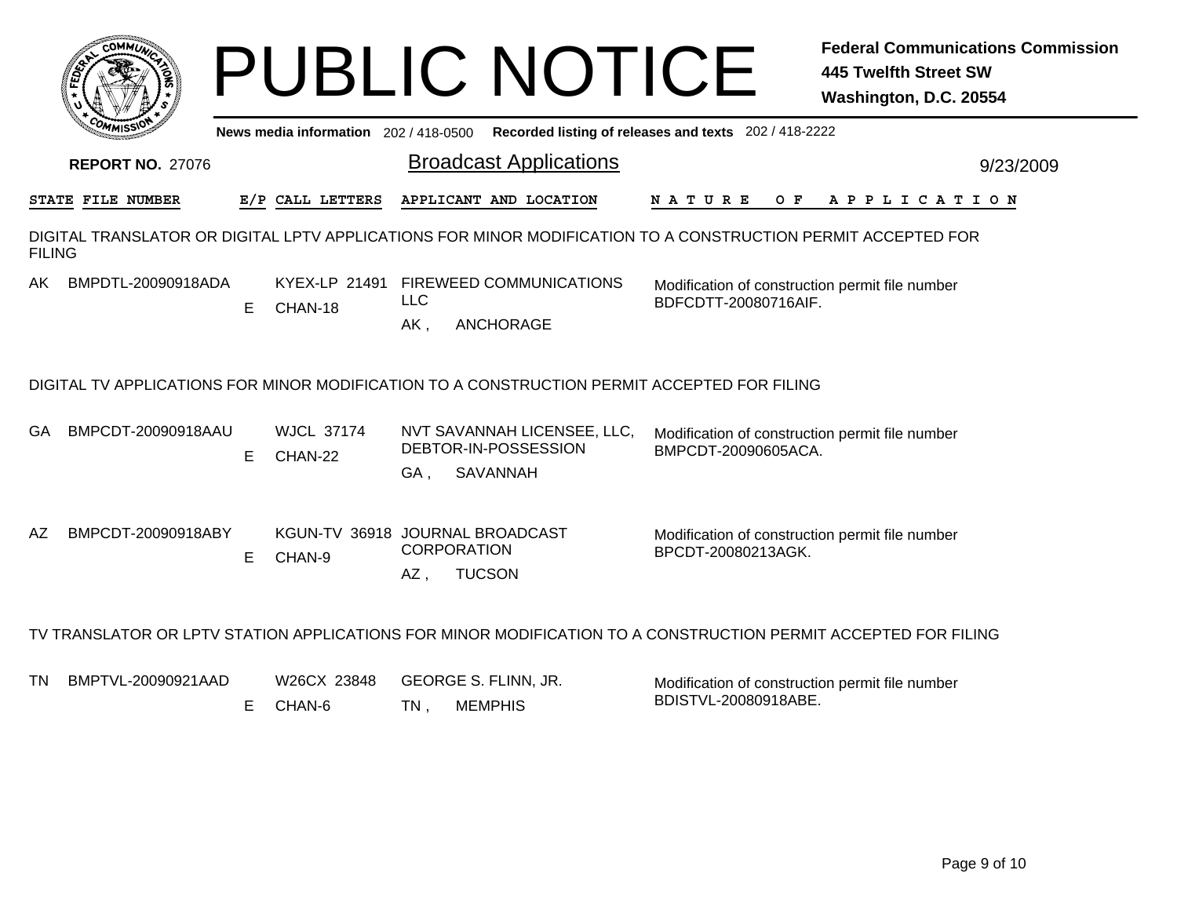|               | <b>0ММп</b> і            |    |                                           |                   | <b>PUBLIC NOTICE</b>                                                                                           |                                                                         | <b>Federal Communications Commission</b><br><b>445 Twelfth Street SW</b><br>Washington, D.C. 20554 |
|---------------|--------------------------|----|-------------------------------------------|-------------------|----------------------------------------------------------------------------------------------------------------|-------------------------------------------------------------------------|----------------------------------------------------------------------------------------------------|
|               |                          |    | News media information 202/418-0500       |                   |                                                                                                                | Recorded listing of releases and texts 202 / 418-2222                   |                                                                                                    |
|               | <b>REPORT NO. 27076</b>  |    |                                           |                   | <b>Broadcast Applications</b>                                                                                  |                                                                         | 9/23/2009                                                                                          |
|               | <b>STATE FILE NUMBER</b> |    | E/P CALL LETTERS                          |                   | APPLICANT AND LOCATION                                                                                         | NATURE<br>O F                                                           | A P P L I C A T I O N                                                                              |
| <b>FILING</b> |                          |    |                                           |                   | DIGITAL TRANSLATOR OR DIGITAL LPTV APPLICATIONS FOR MINOR MODIFICATION TO A CONSTRUCTION PERMIT ACCEPTED FOR   |                                                                         |                                                                                                    |
| AK            | BMPDTL-20090918ADA       | E. | CHAN-18                                   | <b>LLC</b><br>AK, | KYEX-LP 21491 FIREWEED COMMUNICATIONS<br><b>ANCHORAGE</b>                                                      | Modification of construction permit file number<br>BDFCDTT-20080716AIF. |                                                                                                    |
|               |                          |    |                                           |                   | DIGITAL TV APPLICATIONS FOR MINOR MODIFICATION TO A CONSTRUCTION PERMIT ACCEPTED FOR FILING                    |                                                                         |                                                                                                    |
| GA            | BMPCDT-20090918AAU       | E. | <b>WJCL 37174</b><br>CHAN-22              | GA,               | NVT SAVANNAH LICENSEE, LLC,<br>DEBTOR-IN-POSSESSION<br><b>SAVANNAH</b>                                         | Modification of construction permit file number<br>BMPCDT-20090605ACA.  |                                                                                                    |
| AZ            | BMPCDT-20090918ABY       | E. | KGUN-TV 36918 JOURNAL BROADCAST<br>CHAN-9 | AZ,               | <b>CORPORATION</b><br><b>TUCSON</b>                                                                            | Modification of construction permit file number<br>BPCDT-20080213AGK.   |                                                                                                    |
|               |                          |    |                                           |                   | TV TRANSLATOR OR LPTV STATION APPLICATIONS FOR MINOR MODIFICATION TO A CONSTRUCTION PERMIT ACCEPTED FOR FILING |                                                                         |                                                                                                    |
| TN            | BMPTVL-20090921AAD       | E. | W26CX 23848<br>CHAN-6                     | $TN$ ,            | GEORGE S. FLINN, JR.<br><b>MEMPHIS</b>                                                                         | Modification of construction permit file number<br>BDISTVL-20080918ABE. |                                                                                                    |